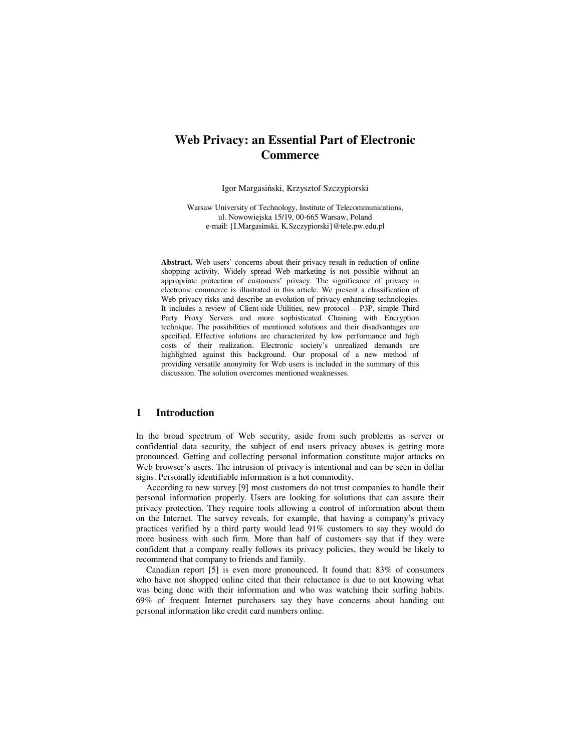# **Web Privacy: an Essential Part of Electronic Commerce**

Igor Margasiński, Krzysztof Szczypiorski

Warsaw University of Technology, Institute of Telecommunications, ul. Nowowiejska 15/19, 00-665 Warsaw, Poland e-mail: {I.Margasinski, K.Szczypiorski}@tele.pw.edu.pl

**Abstract.** Web users' concerns about their privacy result in reduction of online shopping activity. Widely spread Web marketing is not possible without an appropriate protection of customers' privacy. The significance of privacy in electronic commerce is illustrated in this article. We present a classification of Web privacy risks and describe an evolution of privacy enhancing technologies. It includes a review of Client-side Utilities, new protocol – P3P, simple Third Party Proxy Servers and more sophisticated Chaining with Encryption technique. The possibilities of mentioned solutions and their disadvantages are specified. Effective solutions are characterized by low performance and high costs of their realization. Electronic society's unrealized demands are highlighted against this background. Our proposal of a new method of providing versatile anonymity for Web users is included in the summary of this discussion. The solution overcomes mentioned weaknesses.

## **1 Introduction**

In the broad spectrum of Web security, aside from such problems as server or confidential data security, the subject of end users privacy abuses is getting more pronounced. Getting and collecting personal information constitute major attacks on Web browser's users. The intrusion of privacy is intentional and can be seen in dollar signs. Personally identifiable information is a hot commodity.

According to new survey [9] most customers do not trust companies to handle their personal information properly. Users are looking for solutions that can assure their privacy protection. They require tools allowing a control of information about them on the Internet. The survey reveals, for example, that having a company's privacy practices verified by a third party would lead 91% customers to say they would do more business with such firm. More than half of customers say that if they were confident that a company really follows its privacy policies, they would be likely to recommend that company to friends and family.

Canadian report [5] is even more pronounced. It found that: 83% of consumers who have not shopped online cited that their reluctance is due to not knowing what was being done with their information and who was watching their surfing habits. 69% of frequent Internet purchasers say they have concerns about handing out personal information like credit card numbers online.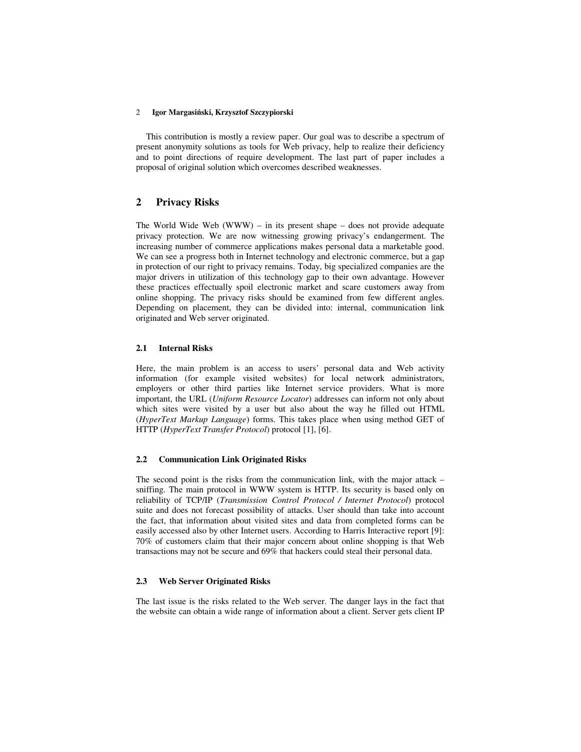This contribution is mostly a review paper. Our goal was to describe a spectrum of present anonymity solutions as tools for Web privacy, help to realize their deficiency and to point directions of require development. The last part of paper includes a proposal of original solution which overcomes described weaknesses.

## **2 Privacy Risks**

The World Wide Web  $(WWW)$  – in its present shape – does not provide adequate privacy protection. We are now witnessing growing privacy's endangerment. The increasing number of commerce applications makes personal data a marketable good. We can see a progress both in Internet technology and electronic commerce, but a gap in protection of our right to privacy remains. Today, big specialized companies are the major drivers in utilization of this technology gap to their own advantage. However these practices effectually spoil electronic market and scare customers away from online shopping. The privacy risks should be examined from few different angles. Depending on placement, they can be divided into: internal, communication link originated and Web server originated.

### **2.1 Internal Risks**

Here, the main problem is an access to users' personal data and Web activity information (for example visited websites) for local network administrators, employers or other third parties like Internet service providers. What is more important, the URL (*Uniform Resource Locator*) addresses can inform not only about which sites were visited by a user but also about the way he filled out HTML (*HyperText Markup Language*) forms. This takes place when using method GET of HTTP (*HyperText Transfer Protocol*) protocol [1], [6].

### **2.2 Communication Link Originated Risks**

The second point is the risks from the communication link, with the major attack – sniffing. The main protocol in WWW system is HTTP. Its security is based only on reliability of TCP/IP (*Transmission Control Protocol / Internet Protocol*) protocol suite and does not forecast possibility of attacks. User should than take into account the fact, that information about visited sites and data from completed forms can be easily accessed also by other Internet users. According to Harris Interactive report [9]: 70% of customers claim that their major concern about online shopping is that Web transactions may not be secure and 69% that hackers could steal their personal data.

## **2.3 Web Server Originated Risks**

The last issue is the risks related to the Web server. The danger lays in the fact that the website can obtain a wide range of information about a client. Server gets client IP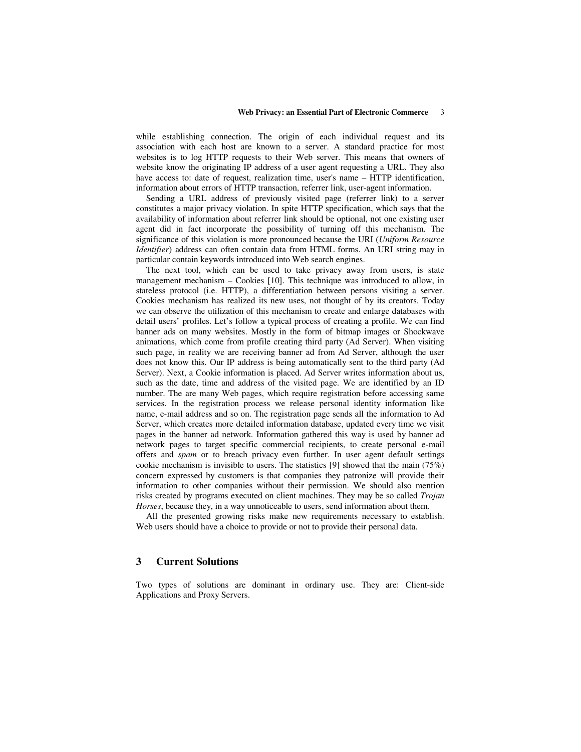while establishing connection. The origin of each individual request and its association with each host are known to a server. A standard practice for most websites is to log HTTP requests to their Web server. This means that owners of website know the originating IP address of a user agent requesting a URL. They also have access to: date of request, realization time, user's name – HTTP identification, information about errors of HTTP transaction, referrer link, user-agent information.

Sending a URL address of previously visited page (referrer link) to a server constitutes a major privacy violation. In spite HTTP specification, which says that the availability of information about referrer link should be optional, not one existing user agent did in fact incorporate the possibility of turning off this mechanism. The significance of this violation is more pronounced because the URI (*Uniform Resource Identifier*) address can often contain data from HTML forms. An URI string may in particular contain keywords introduced into Web search engines.

The next tool, which can be used to take privacy away from users, is state management mechanism – Cookies [10]. This technique was introduced to allow, in stateless protocol (i.e. HTTP), a differentiation between persons visiting a server. Cookies mechanism has realized its new uses, not thought of by its creators. Today we can observe the utilization of this mechanism to create and enlarge databases with detail users' profiles. Let's follow a typical process of creating a profile. We can find banner ads on many websites. Mostly in the form of bitmap images or Shockwave animations, which come from profile creating third party (Ad Server). When visiting such page, in reality we are receiving banner ad from Ad Server, although the user does not know this. Our IP address is being automatically sent to the third party (Ad Server). Next, a Cookie information is placed. Ad Server writes information about us, such as the date, time and address of the visited page. We are identified by an ID number. The are many Web pages, which require registration before accessing same services. In the registration process we release personal identity information like name, e-mail address and so on. The registration page sends all the information to Ad Server, which creates more detailed information database, updated every time we visit pages in the banner ad network. Information gathered this way is used by banner ad network pages to target specific commercial recipients, to create personal e-mail offers and *spam* or to breach privacy even further. In user agent default settings cookie mechanism is invisible to users. The statistics [9] showed that the main (75%) concern expressed by customers is that companies they patronize will provide their information to other companies without their permission. We should also mention risks created by programs executed on client machines. They may be so called *Trojan Horses*, because they, in a way unnoticeable to users, send information about them.

All the presented growing risks make new requirements necessary to establish. Web users should have a choice to provide or not to provide their personal data.

## **3 Current Solutions**

Two types of solutions are dominant in ordinary use. They are: Client-side Applications and Proxy Servers.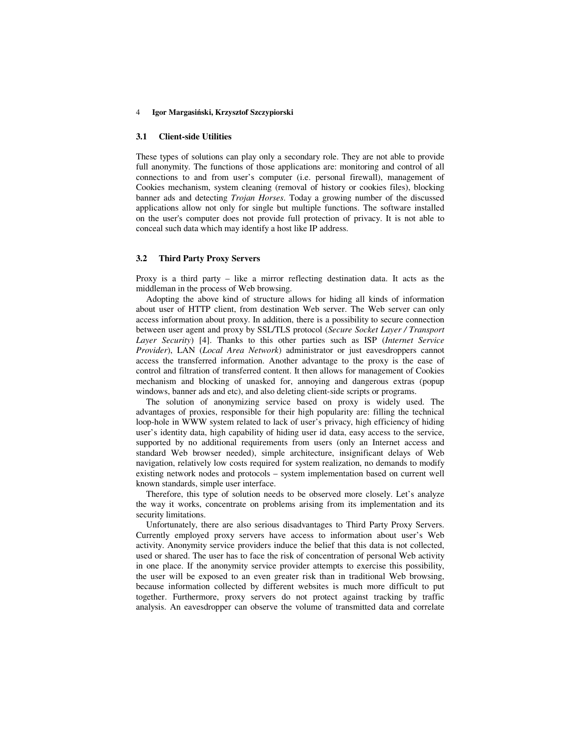#### **3.1 Client-side Utilities**

These types of solutions can play only a secondary role. They are not able to provide full anonymity. The functions of those applications are: monitoring and control of all connections to and from user's computer (i.e. personal firewall), management of Cookies mechanism, system cleaning (removal of history or cookies files), blocking banner ads and detecting *Trojan Horses*. Today a growing number of the discussed applications allow not only for single but multiple functions. The software installed on the user's computer does not provide full protection of privacy. It is not able to conceal such data which may identify a host like IP address.

#### **3.2 Third Party Proxy Servers**

Proxy is a third party – like a mirror reflecting destination data. It acts as the middleman in the process of Web browsing.

Adopting the above kind of structure allows for hiding all kinds of information about user of HTTP client, from destination Web server. The Web server can only access information about proxy. In addition, there is a possibility to secure connection between user agent and proxy by SSL/TLS protocol (*Secure Socket Layer / Transport Layer Security*) [4]. Thanks to this other parties such as ISP (*Internet Service Provider*), LAN (*Local Area Network*) administrator or just eavesdroppers cannot access the transferred information. Another advantage to the proxy is the ease of control and filtration of transferred content. It then allows for management of Cookies mechanism and blocking of unasked for, annoying and dangerous extras (popup windows, banner ads and etc), and also deleting client-side scripts or programs.

The solution of anonymizing service based on proxy is widely used. The advantages of proxies, responsible for their high popularity are: filling the technical loop-hole in WWW system related to lack of user's privacy, high efficiency of hiding user's identity data, high capability of hiding user id data, easy access to the service, supported by no additional requirements from users (only an Internet access and standard Web browser needed), simple architecture, insignificant delays of Web navigation, relatively low costs required for system realization, no demands to modify existing network nodes and protocols – system implementation based on current well known standards, simple user interface.

Therefore, this type of solution needs to be observed more closely. Let's analyze the way it works, concentrate on problems arising from its implementation and its security limitations.

Unfortunately, there are also serious disadvantages to Third Party Proxy Servers. Currently employed proxy servers have access to information about user's Web activity. Anonymity service providers induce the belief that this data is not collected, used or shared. The user has to face the risk of concentration of personal Web activity in one place. If the anonymity service provider attempts to exercise this possibility, the user will be exposed to an even greater risk than in traditional Web browsing, because information collected by different websites is much more difficult to put together. Furthermore, proxy servers do not protect against tracking by traffic analysis. An eavesdropper can observe the volume of transmitted data and correlate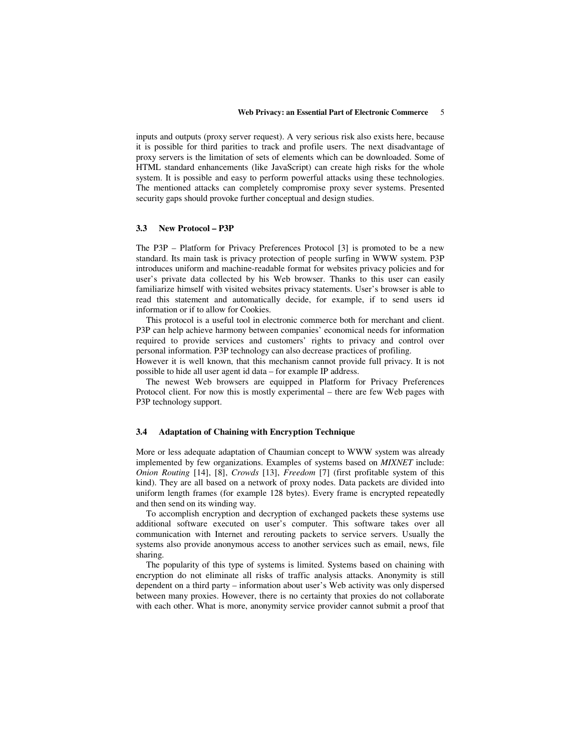inputs and outputs (proxy server request). A very serious risk also exists here, because it is possible for third parities to track and profile users. The next disadvantage of proxy servers is the limitation of sets of elements which can be downloaded. Some of HTML standard enhancements (like JavaScript) can create high risks for the whole system. It is possible and easy to perform powerful attacks using these technologies. The mentioned attacks can completely compromise proxy sever systems. Presented security gaps should provoke further conceptual and design studies.

#### **3.3 New Protocol – P3P**

The P3P – Platform for Privacy Preferences Protocol [3] is promoted to be a new standard. Its main task is privacy protection of people surfing in WWW system. P3P introduces uniform and machine-readable format for websites privacy policies and for user's private data collected by his Web browser. Thanks to this user can easily familiarize himself with visited websites privacy statements. User's browser is able to read this statement and automatically decide, for example, if to send users id information or if to allow for Cookies.

This protocol is a useful tool in electronic commerce both for merchant and client. P3P can help achieve harmony between companies' economical needs for information required to provide services and customers' rights to privacy and control over personal information. P3P technology can also decrease practices of profiling.

However it is well known, that this mechanism cannot provide full privacy. It is not possible to hide all user agent id data – for example IP address.

The newest Web browsers are equipped in Platform for Privacy Preferences Protocol client. For now this is mostly experimental – there are few Web pages with P3P technology support.

### **3.4 Adaptation of Chaining with Encryption Technique**

More or less adequate adaptation of Chaumian concept to WWW system was already implemented by few organizations. Examples of systems based on *MIXNET* include: *Onion Routing* [14], [8], *Crowds* [13], *Freedom* [7] (first profitable system of this kind). They are all based on a network of proxy nodes. Data packets are divided into uniform length frames (for example 128 bytes). Every frame is encrypted repeatedly and then send on its winding way.

To accomplish encryption and decryption of exchanged packets these systems use additional software executed on user's computer. This software takes over all communication with Internet and rerouting packets to service servers. Usually the systems also provide anonymous access to another services such as email, news, file sharing.

The popularity of this type of systems is limited. Systems based on chaining with encryption do not eliminate all risks of traffic analysis attacks. Anonymity is still dependent on a third party – information about user's Web activity was only dispersed between many proxies. However, there is no certainty that proxies do not collaborate with each other. What is more, anonymity service provider cannot submit a proof that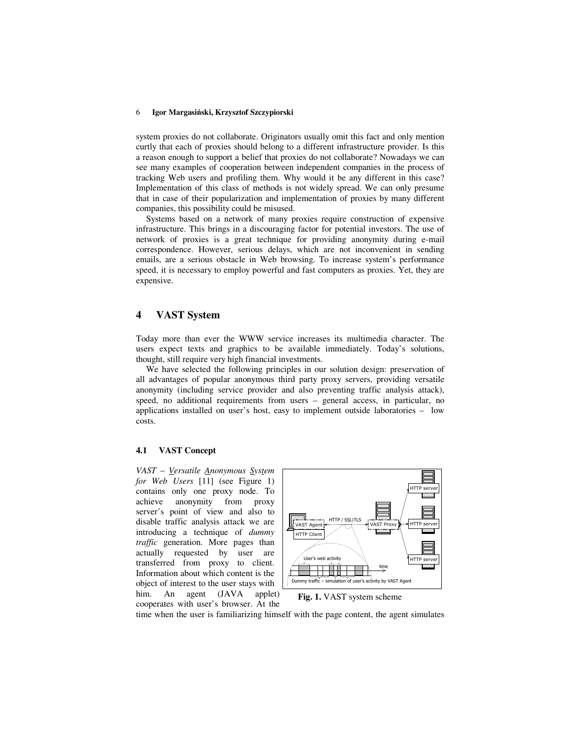system proxies do not collaborate. Originators usually omit this fact and only mention curtly that each of proxies should belong to a different infrastructure provider. Is this a reason enough to support a belief that proxies do not collaborate? Nowadays we can see many examples of cooperation between independent companies in the process of tracking Web users and profiling them. Why would it be any different in this case? Implementation of this class of methods is not widely spread. We can only presume that in case of their popularization and implementation of proxies by many different companies, this possibility could be misused.

Systems based on a network of many proxies require construction of expensive infrastructure. This brings in a discouraging factor for potential investors. The use of network of proxies is a great technique for providing anonymity during e-mail correspondence. However, serious delays, which are not inconvenient in sending emails, are a serious obstacle in Web browsing. To increase system's performance speed, it is necessary to employ powerful and fast computers as proxies. Yet, they are expensive.

## **4 VAST System**

Today more than ever the WWW service increases its multimedia character. The users expect texts and graphics to be available immediately. Today's solutions, thought, still require very high financial investments.

We have selected the following principles in our solution design: preservation of all advantages of popular anonymous third party proxy servers, providing versatile anonymity (including service provider and also preventing traffic analysis attack), speed, no additional requirements from users – general access, in particular, no applications installed on user's host, easy to implement outside laboratories – low costs.

#### **4.1 VAST Concept**

*VAST* – *Versatile Anonymous System for Web Users* [11] (see Figure 1) contains only one proxy node. To achieve anonymity from proxy server's point of view and also to disable traffic analysis attack we are introducing a technique of *dummy traffic* generation. More pages than actually requested by user are transferred from proxy to client. Information about which content is the object of interest to the user stays with him. An agent (JAVA applet) cooperates with user's browser. At the



**Fig. 1.** VAST system scheme

time when the user is familiarizing himself with the page content, the agent simulates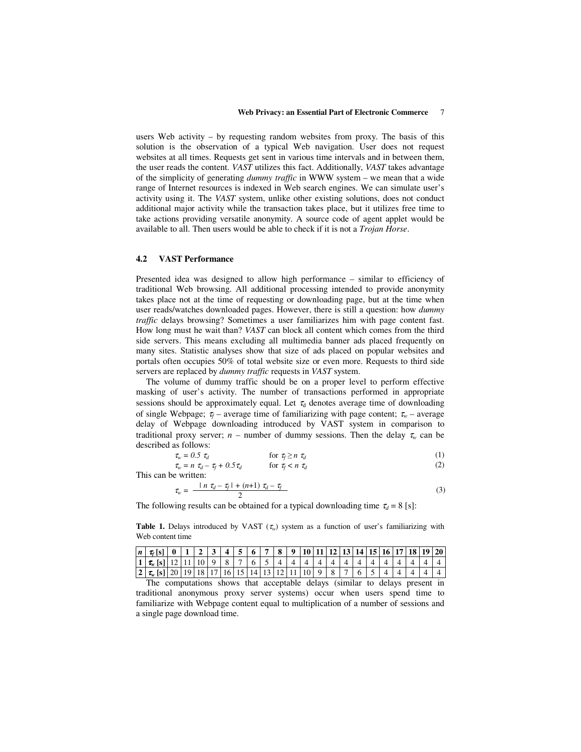users Web activity – by requesting random websites from proxy. The basis of this solution is the observation of a typical Web navigation. User does not request websites at all times. Requests get sent in various time intervals and in between them, the user reads the content. *VAST* utilizes this fact. Additionally, *VAST* takes advantage of the simplicity of generating *dummy traffic* in WWW system – we mean that a wide range of Internet resources is indexed in Web search engines. We can simulate user's activity using it. The *VAST* system, unlike other existing solutions, does not conduct additional major activity while the transaction takes place, but it utilizes free time to take actions providing versatile anonymity. A source code of agent applet would be available to all. Then users would be able to check if it is not a *Trojan Horse*.

#### **4.2 VAST Performance**

Presented idea was designed to allow high performance – similar to efficiency of traditional Web browsing. All additional processing intended to provide anonymity takes place not at the time of requesting or downloading page, but at the time when user reads/watches downloaded pages. However, there is still a question: how *dummy traffic* delays browsing? Sometimes a user familiarizes him with page content fast. How long must he wait than? *VAST* can block all content which comes from the third side servers. This means excluding all multimedia banner ads placed frequently on many sites. Statistic analyses show that size of ads placed on popular websites and portals often occupies 50% of total website size or even more. Requests to third side servers are replaced by *dummy traffic* requests in *VAST* system.

The volume of dummy traffic should be on a proper level to perform effective masking of user's activity. The number of transactions performed in appropriate sessions should be approximately equal. Let  $\tau_d$  denotes average time of downloading of single Webpage;  $\tau_f$  – average time of familiarizing with page content;  $\tau_w$  – average delay of Webpage downloading introduced by VAST system in comparison to traditional proxy server; *n* – number of dummy sessions. Then the delay  $\tau_w$  can be described as follows:

$$
\tau_w = 0.5 \tau_d \qquad \text{for } \tau_f \ge n \tau_d \tag{1}
$$
\n
$$
\tau_w = n \tau_d - \tau_f + 0.5 \tau_d \qquad \text{for } \tau_f < n \tau_d \tag{2}
$$

This can be written:

$$
\tau_w = \frac{|n \tau_d - \tau_f| + (n+1) \tau_d - \tau_f}{2} \tag{3}
$$

The following results can be obtained for a typical downloading time  $\tau_d = 8$  [s]:

**Table 1.** Delays introduced by VAST  $(\tau_w)$  system as a function of user's familiarizing with Web content time

| n | $\mathcal{L}$ SI    |         |  |  | 6   7   8   9   10   11   12   13   14   15   16   17   18   19   20 |  |  |  |  |  |  |  |
|---|---------------------|---------|--|--|----------------------------------------------------------------------|--|--|--|--|--|--|--|
|   | $\tau_{w}$ [s]   12 | 11   10 |  |  |                                                                      |  |  |  |  |  |  |  |
| 2 | $\tau_w$ [s]   20   | 19   18 |  |  | 17   16   15   14   13   12   11                                     |  |  |  |  |  |  |  |

The computations shows that acceptable delays (similar to delays present in traditional anonymous proxy server systems) occur when users spend time to familiarize with Webpage content equal to multiplication of a number of sessions and a single page download time.